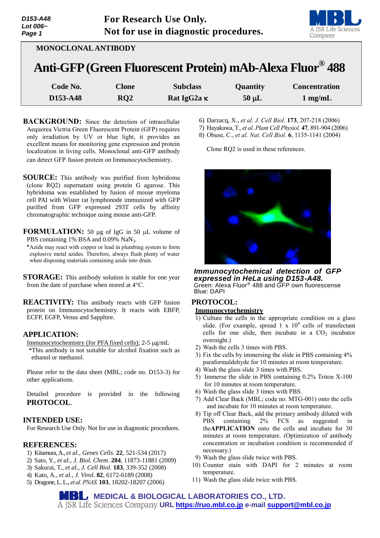| D153-A48                 | <b>For Research Use Only.</b>         |
|--------------------------|---------------------------------------|
| Lot 006 $\sim$<br>Page 1 | Not for use in diagnostic procedures. |



| <b>MONOCLONAL ANTIBODY</b> |
|----------------------------|
|----------------------------|

# **Anti-GFP(Green Fluorescent Protein) mAb-Alexa Fluor® 488**

| Code No. | $C$ lone | <b>Subclass</b>    | <b>Quantity</b> | <b>Concentration</b> |
|----------|----------|--------------------|-----------------|----------------------|
| D153-A48 | RO2      | Rat IgG2a $\kappa$ | $50 \mu L$      | $1 \text{ mg/mL}$    |

- **BACKGROUND:** Since the detection of intracellular Aequorea Victria Green Fluorescent Protein (GFP) requires only irradiation by UV or blue light, it provides an excellent means for monitoring gene expression and protein localization in living cells. Monoclonal anti-GFP antibody can detect GFP fusion protein on Immunocytochemistry.
- **SOURCE:** This antibody was purified from hybridoma (clone RQ2) supernatant using protein G agarose. This hybridoma was established by fusion of mouse myeloma cell PAI with Wister rat lymphonode immunized with GFP purified from GFP expressed 293T cells by affinity chromatographic technique using mouse anti-GFP.
- **FORMULATION:** 50 µg of IgG in 50 µL volume of PBS containing 1% BSA and 0.09% NaN<sub>3</sub>.
- \*Azide may react with copper or lead in plumbing system to form explosive metal azides. Therefore, always flush plenty of water when disposing materials containing azide into drain.
- **STORAGE:** This antibody solution is stable for one year from the date of purchase when stored at 4°C.
- **REACTIVITY:** This antibody reacts with GFP fusion protein on Immunocytochemistry. It reacts with EBFP, ECFP, EGFP, Venus and Sapphire.

# **APPLICATION:**

Immunocytochemistry (for PFA fixed cells); 2-5 µg/mL \*This antibody is not suitable for alcohol fixation such as ethanol or methanol.

Please refer to the data sheet (MBL; code no. D153-3) for other applications.

Detailed procedure is provided in the following **PROTOCOL**.

#### **INTENDED USE:**

For Research Use Only. Not for use in diagnostic procedures.

#### **REFERENCES:**

- 1) Kitamura, A., *et al., Genes Cells*. **22**, 521-534 (2017)
- 2) Sato, Y., *et al., J. Biol. Chem*. **284**, 11873-11881 (2009)
- 3) Sakurai, T., *et al., J. Cell Biol*. **183**, 339-352 (2008)
- 4) Kato, A., *et al., J. Virol*. **82**, 6172-6189 (2008)
- 5) Dragone, L. L., *et al. PNAS.* **103**, 18202-18207 (2006)
- 6) Darzacq, X., *et al. J. Cell Biol.* **173**, 207-218 (2006)
- 7) Hayakawa, T., *et al. Plant Cell Physiol.* **47**, 891-904 (2006)
- 8) Obuse, C., *et al. Nat*. *Cell Biol*. **6**, 1135-1141 (2004)

Clone RQ2 is used in these references.



*Immunocytochemical detection of GFP expressed in HeLa using D153-A48.* Green: Alexa Fluor® 488 and GFP own fluorescense Blue: DAPI

### **PROTOCOL: Immunocytochemistry**

- 1) Culture the cells in the appropriate condition on a glass slide. (For example, spread  $1 \times 10^4$  cells of transfectant cells for one slide, then incubate in a  $CO<sub>2</sub>$  incubator overnight.)
- 2) Wash the cells 3 times with PBS.
- 3) Fix the cells by immersing the slide in PBS containing 4% paraformaldehyde for 10 minutes at room temperature.
- 4) Wash the glass slide 3 times with PBS.
- 5) Immerse the slide in PBS containing 0.2% Triton X-100 for 10 minutes at room temperature.
- 6) Wash the glass slide 3 times with PBS.
- 7) Add Clear Back (MBL; code no. MTG-001) onto the cells and incubate for 10 minutes at room temperature.
- 8) Tip off Clear Back, add the primary antibody diluted with PBS containing 2% FCS as suggested in the**APPLICATION** onto the cells and incubate for 30 minutes at room temperature. (Optimization of antibody concentration or incubation condition is recommended if necessary.)
- 9) Wash the glass slide twice with PBS.
- 10) Counter stain with DAPI for 2 minutes at room temperature.
- 11) Wash the glass slide twice with PBS.

**MEDICAL & BIOLOGICAL LABORATORIES CO., LTD. URL [https://ruo.mbl.co.jp](https://ruo.mbl.co.jp/) e-mail [support@mbl.co.jp](mailto:support@mbl.co.jp)**